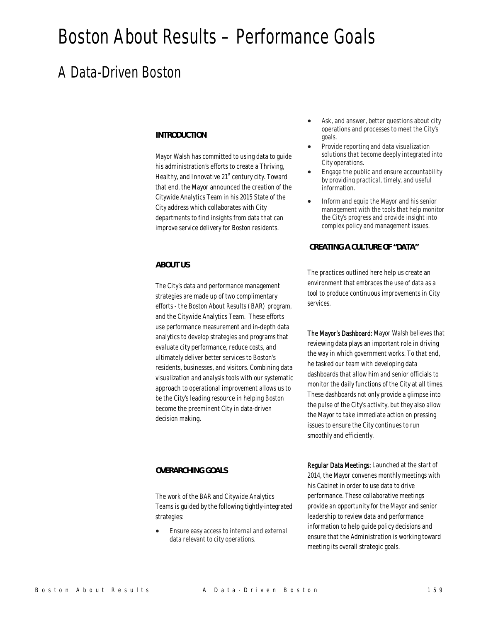# Boston About Results – Performance Goals

## A Data-Driven Boston

#### *INTRODUCTION*

Mayor Walsh has committed to using data to guide his administration's efforts to create a Thriving, Healthy, and Innovative  $21<sup>st</sup>$  century city. Toward that end, the Mayor announced the creation of the Citywide Analytics Team in his 2015 State of the City address which collaborates with City departments to find insights from data that can improve service delivery for Boston residents.

#### *ABOUT US*

The City's data and performance management strategies are made up of two complimentary efforts - the Boston About Results (BAR) program, and the Citywide Analytics Team. These efforts use performance measurement and in-depth data analytics to develop strategies and programs that evaluate city performance, reduce costs, and ultimately deliver better services to Boston's residents, businesses, and visitors. Combining data visualization and analysis tools with our systematic approach to operational improvement allows us to be the City's leading resource in helping Boston become the preeminent City in data-driven decision making.

#### *OVERARCHING GOALS*

The work of the BAR and Citywide Analytics Teams is guided by the following tightly-integrated strategies:

• Ensure easy access to internal and external data relevant to city operations.

- Ask, and answer, better questions about city operations and processes to meet the City's goals.
- Provide reporting and data visualization solutions that become deeply integrated into City operations.
- Engage the public and ensure accountability by providing practical, timely, and useful information.
- Inform and equip the Mayor and his senior management with the tools that help monitor the City's progress and provide insight into complex policy and management issues.

#### *CREATING A CULTURE OF "DATA"*

The practices outlined here help us create an environment that embraces the use of data as a tool to produce continuous improvements in City services.

The Mayor's Dashboard: Mayor Walsh believes that reviewing data plays an important role in driving the way in which government works. To that end, he tasked our team with developing data dashboards that allow him and senior officials to monitor the daily functions of the City at all times. These dashboards not only provide a glimpse into the pulse of the City's activity, but they also allow the Mayor to take immediate action on pressing issues to ensure the City continues to run smoothly and efficiently.

Regular Data Meetings: Launched at the start of 2014, the Mayor convenes monthly meetings with his Cabinet in order to use data to drive performance. These collaborative meetings provide an opportunity for the Mayor and senior leadership to review data and performance information to help guide policy decisions and ensure that the Administration is working toward meeting its overall strategic goals.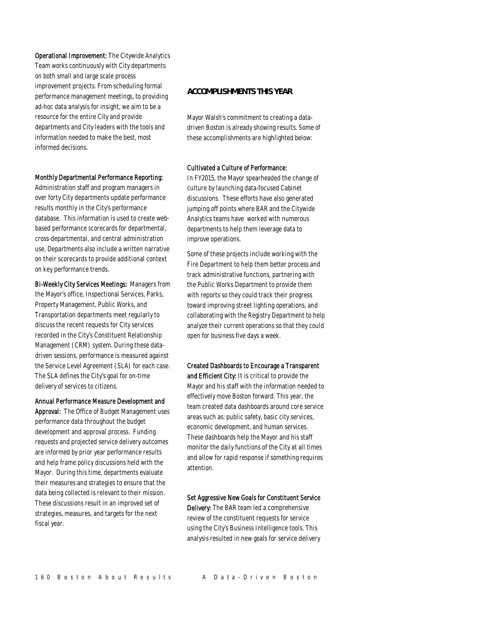Operational Improvement: The Citywide Analytics Team works continuously with City departments on both small and large scale process improvement projects. From scheduling formal performance management meetings, to providing ad-hoc data analysis for insight, we aim to be a resource for the entire City and provide departments and City leaders with the tools and information needed to make the best, most informed decisions.

#### Monthly Departmental Performance Reporting:

Administration staff and program managers in over forty City departments update performance results monthly in the City's performance database. This information is used to create webbased performance scorecards for departmental, cross-departmental, and central administration use. Departments also include a written narrative on their scorecards to provide additional context on key performance trends.

Bi-Weekly City Services Meetings: Managers from the Mayor's office, Inspectional Services, Parks, Property Management, Public Works, and Transportation departments meet regularly to discuss the recent requests for City services recorded in the City's Constituent Relationship Management (CRM) system. During these datadriven sessions, performance is measured against the Service Level Agreement (SLA) for each case. The SLA defines the City's goal for on-time delivery of services to citizens.

#### Annual Performance Measure Development and

Approval: The Office of Budget Management uses performance data throughout the budget development and approval process. Funding requests and projected service delivery outcomes are informed by prior year performance results and help frame policy discussions held with the Mayor. During this time, departments evaluate their measures and strategies to ensure that the data being collected is relevant to their mission. These discussions result in an improved set of strategies, measures, and targets for the next fiscal year.

#### *ACCOMPLISHMENTS THIS YEAR*

Mayor Walsh's commitment to creating a datadriven Boston is already showing results. Some of these accomplishments are highlighted below:

#### Cultivated a Culture of Performance:

In FY2015, the Mayor spearheaded the change of culture by launching data-focused Cabinet discussions. These efforts have also generated jumping off points where BAR and the Citywide Analytics teams have worked with numerous departments to help them leverage data to improve operations.

Some of these projects include working with the Fire Department to help them better process and track administrative functions, partnering with the Public Works Department to provide them with reports so they could track their progress toward improving street lighting operations, and collaborating with the Registry Department to help analyze their current operations so that they could open for business five days a week.

Created Dashboards to Encourage a Transparent and Efficient City: It is critical to provide the Mayor and his staff with the information needed to effectively move Boston forward. This year, the team created data dashboards around core service areas such as: public safety, basic city services, economic development, and human services. These dashboards help the Mayor and his staff monitor the daily functions of the City at all times and allow for rapid response if something requires attention.

#### Set Aggressive New Goals for Constituent Service

Delivery: The BAR team led a comprehensive review of the constituent requests for service using the City's Business Intelligence tools. This analysis resulted in new goals for service delivery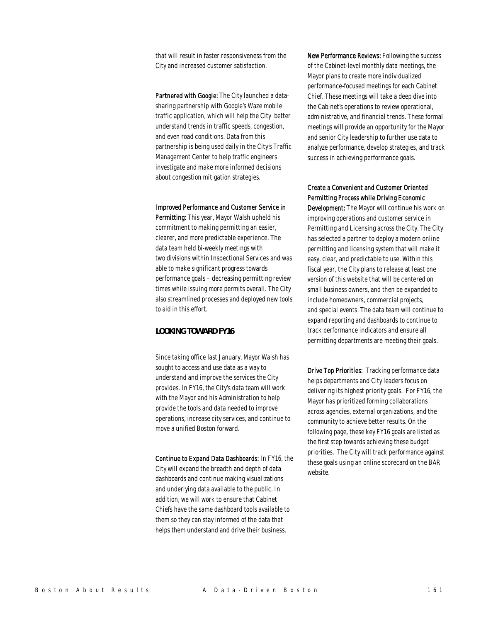that will result in faster responsiveness from the City and increased customer satisfaction.

Partnered with Google: The City launched a datasharing partnership with Google's Waze mobile traffic application, which will help the City better understand trends in traffic speeds, congestion, and even road conditions. Data from this partnership is being used daily in the City's Traffic Management Center to help traffic engineers investigate and make more informed decisions about congestion mitigation strategies.

#### Improved Performance and Customer Service in

Permitting: This year, Mayor Walsh upheld his commitment to making permitting an easier, clearer, and more predictable experience. The data team held bi-weekly meetings with two divisions within Inspectional Services and was able to make significant progress towards performance goals – decreasing permitting review times while issuing more permits overall. The City also streamlined processes and deployed new tools to aid in this effort.

#### *LOOKING TOWARD FY16*

Since taking office last January, Mayor Walsh has sought to access and use data as a way to understand and improve the services the City provides. In FY16, the City's data team will work with the Mayor and his Administration to help provide the tools and data needed to improve operations, increase city services, and continue to move a unified Boston forward.

Continue to Expand Data Dashboards: In FY16, the City will expand the breadth and depth of data dashboards and continue making visualizations and underlying data available to the public. In addition, we will work to ensure that Cabinet Chiefs have the same dashboard tools available to them so they can stay informed of the data that helps them understand and drive their business.

New Performance Reviews: Following the success of the Cabinet-level monthly data meetings, the Mayor plans to create more individualized performance-focused meetings for each Cabinet Chief. These meetings will take a deep dive into the Cabinet's operations to review operational, administrative, and financial trends. These formal meetings will provide an opportunity for the Mayor and senior City leadership to further use data to analyze performance, develop strategies, and track success in achieving performance goals.

#### Create a Convenient and Customer Oriented Permitting Process while Driving Economic

Development: The Mayor will continue his work on improving operations and customer service in Permitting and Licensing across the City. The City has selected a partner to deploy a modern online permitting and licensing system that will make it easy, clear, and predictable to use. Within this fiscal year, the City plans to release at least one version of this website that will be centered on small business owners, and then be expanded to include homeowners, commercial projects, and special events. The data team will continue to expand reporting and dashboards to continue to track performance indicators and ensure all permitting departments are meeting their goals.

Drive Top Priorities: Tracking performance data helps departments and City leaders focus on delivering its highest priority goals. For FY16, the Mayor has prioritized forming collaborations across agencies, external organizations, and the community to achieve better results. On the following page, these key FY16 goals are listed as the first step towards achieving these budget priorities. The City will track performance against these goals using an online scorecard on the BAR website.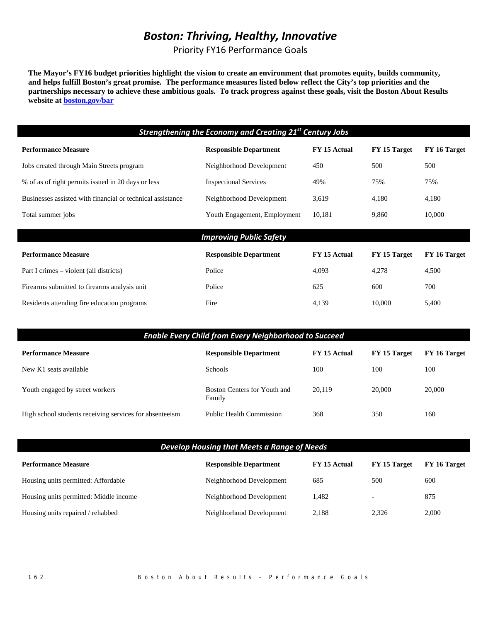## *Boston: Thriving, Healthy, Innovative*

Priority FY16 Performance Goals

**The Mayor's FY16 budget priorities highlight the vision to create an environment that promotes equity, builds community, and helps fulfill Boston's great promise. The performance measures listed below reflect the City's top priorities and the partnerships necessary to achieve these ambitious goals. To track progress against these goals, visit the Boston About Results website at boston.gov/bar** 

| <b>Strengthening the Economy and Creating 21st Century Jobs</b> |                                |              |              |              |
|-----------------------------------------------------------------|--------------------------------|--------------|--------------|--------------|
| <b>Performance Measure</b>                                      | <b>Responsible Department</b>  | FY 15 Actual | FY 15 Target | FY 16 Target |
| Jobs created through Main Streets program                       | Neighborhood Development       | 450          | 500          | 500          |
| % of as of right permits issued in 20 days or less              | <b>Inspectional Services</b>   | 49%          | 75%          | 75%          |
| Businesses assisted with financial or technical assistance      | Neighborhood Development       | 3,619        | 4,180        | 4,180        |
| Total summer jobs                                               | Youth Engagement, Employment   | 10,181       | 9,860        | 10,000       |
|                                                                 |                                |              |              |              |
|                                                                 | <b>Improving Public Safety</b> |              |              |              |
| <b>Performance Measure</b>                                      | <b>Responsible Department</b>  | FY 15 Actual | FY 15 Target | FY 16 Target |
| Part I crimes – violent (all districts)                         | Police                         | 4,093        | 4,278        | 4,500        |
| Firearms submitted to firearms analysis unit                    | Police                         | 625          | 600          | 700          |
| Residents attending fire education programs                     | Fire                           | 4,139        | 10,000       | 5,400        |

| <b>Enable Every Child from Every Neighborhood to Succeed</b> |                                        |              |              |              |
|--------------------------------------------------------------|----------------------------------------|--------------|--------------|--------------|
| <b>Performance Measure</b>                                   | <b>Responsible Department</b>          | FY 15 Actual | FY 15 Target | FY 16 Target |
| New K1 seats available                                       | <b>Schools</b>                         | 100          | 100          | 100          |
| Youth engaged by street workers                              | Boston Centers for Youth and<br>Family | 20.119       | 20,000       | 20,000       |
| High school students receiving services for absenteeism      | <b>Public Health Commission</b>        | 368          | 350          | 160          |

| Develop Housing that Meets a Range of Needs |                               |              |              |              |
|---------------------------------------------|-------------------------------|--------------|--------------|--------------|
| <b>Performance Measure</b>                  | <b>Responsible Department</b> | FY 15 Actual | FY 15 Target | FY 16 Target |
| Housing units permitted: Affordable         | Neighborhood Development      | 685          | 500          | 600          |
| Housing units permitted: Middle income      | Neighborhood Development      | 1.482        |              | 875          |
| Housing units repaired / rehabbed           | Neighborhood Development      | 2.188        | 2.326        | 2.000        |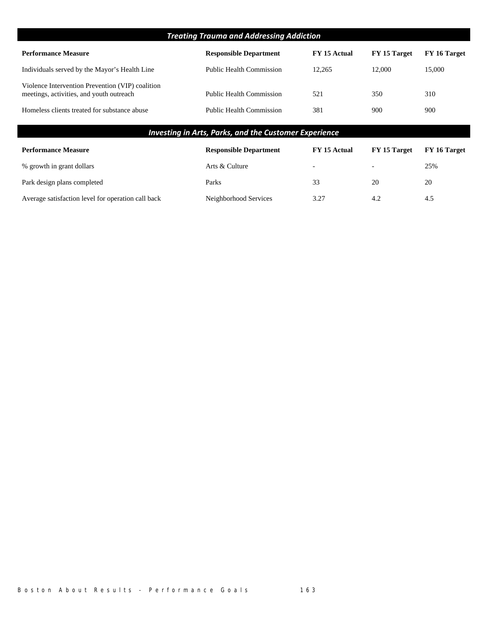| <b>Treating Trauma and Addressing Addiction</b>                                              |                                 |                          |                          |              |
|----------------------------------------------------------------------------------------------|---------------------------------|--------------------------|--------------------------|--------------|
| <b>Performance Measure</b>                                                                   | <b>Responsible Department</b>   | FY 15 Actual             | FY 15 Target             | FY 16 Target |
| Individuals served by the Mayor's Health Line                                                | <b>Public Health Commission</b> | 12,265                   | 12,000                   | 15,000       |
| Violence Intervention Prevention (VIP) coalition<br>meetings, activities, and youth outreach | <b>Public Health Commission</b> | 521                      | 350                      | 310          |
| Homeless clients treated for substance abuse                                                 | <b>Public Health Commission</b> | 381                      | 900                      | 900          |
| <b>Investing in Arts, Parks, and the Customer Experience</b>                                 |                                 |                          |                          |              |
| <b>Performance Measure</b>                                                                   | <b>Responsible Department</b>   | FY 15 Actual             | FY 15 Target             | FY 16 Target |
| % growth in grant dollars                                                                    | Arts & Culture                  | $\overline{\phantom{0}}$ | $\overline{\phantom{a}}$ | 25%          |
| Park design plans completed                                                                  | Parks                           | 33                       | 20                       | 20           |

Average satisfaction level for operation call back Neighborhood Services 3.27 4.2 4.5